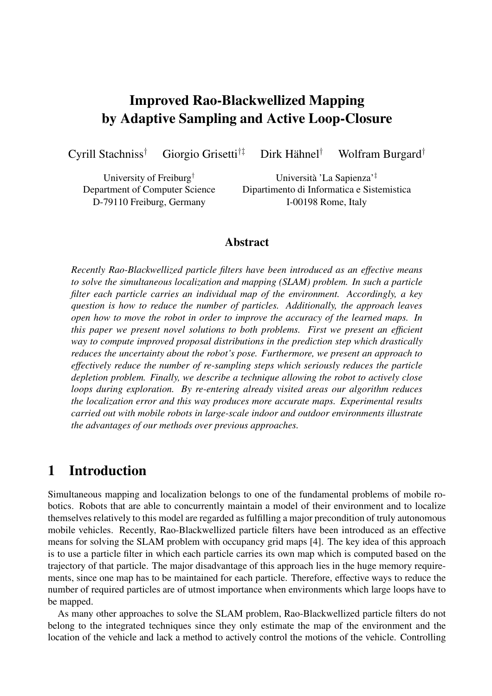# **Improved Rao-Blackwellized Mapping by Adaptive Sampling and Active Loop-Closure**

Cyrill Stachniss† Giorgio Grisetti†‡ Dirk Hahnel ¨

† Wolfram Burgard†

University of Freiburg † Department of Computer Science D-79110 Freiburg, Germany

Universita` 'La Sapienza'‡ Dipartimento di Informatica e Sistemistica I-00198 Rome, Italy

#### **Abstract**

*Recently Rao-Blackwellized particle filters have been introduced as an effective means to solve the simultaneous localization and mapping (SLAM) problem. In such a particle filter each particle carries an individual map of the environment. Accordingly, a key question is how to reduce the number of particles. Additionally, the approach leaves open how to move the robot in order to improve the accuracy of the learned maps. In this paper we present novel solutions to both problems. First we present an efficient way to compute improved proposal distributions in the prediction step which drastically reduces the uncertainty about the robot's pose. Furthermore, we present an approach to effectively reduce the number of re-sampling steps which seriously reduces the particle depletion problem. Finally, we describe a technique allowing the robot to actively close loops during exploration. By re-entering already visited areas our algorithm reduces the localization error and this way produces more accurate maps. Experimental results carried out with mobile robots in large-scale indoor and outdoor environments illustrate the advantages of our methods over previous approaches.*

### **1 Introduction**

Simultaneous mapping and localization belongs to one of the fundamental problems of mobile robotics. Robots that are able to concurrently maintain a model of their environment and to localize themselves relatively to this model are regarded as fulfilling a major precondition of truly autonomous mobile vehicles. Recently, Rao-Blackwellized particle filters have been introduced as an effective means for solving the SLAM problem with occupancy grid maps [4]. The key idea of this approach is to use a particle filter in which each particle carries its own map which is computed based on the trajectory of that particle. The major disadvantage of this approach lies in the huge memory requirements, since one map has to be maintained for each particle. Therefore, effective ways to reduce the number of required particles are of utmost importance when environments which large loops have to be mapped.

As many other approaches to solve the SLAM problem, Rao-Blackwellized particle filters do not belong to the integrated techniques since they only estimate the map of the environment and the location of the vehicle and lack a method to actively control the motions of the vehicle. Controlling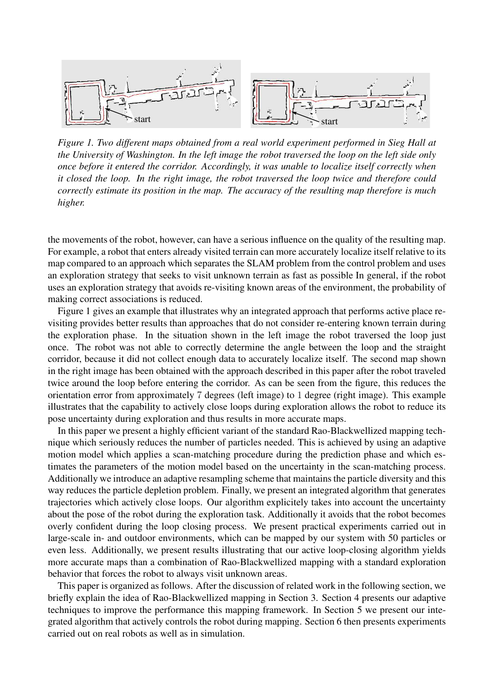

*Figure 1. Two different maps obtained from a real world experiment performed in Sieg Hall at the University of Washington. In the left image the robot traversed the loop on the left side only once before it entered the corridor. Accordingly, it was unable to localize itself correctly when it closed the loop. In the right image, the robot traversed the loop twice and therefore could correctly estimate its position in the map. The accuracy of the resulting map therefore is much higher.*

the movements of the robot, however, can have a serious influence on the quality of the resulting map. For example, a robot that enters already visited terrain can more accurately localize itself relative to its map compared to an approach which separates the SLAM problem from the control problem and uses an exploration strategy that seeks to visit unknown terrain as fast as possible In general, if the robot uses an exploration strategy that avoids re-visiting known areas of the environment, the probability of making correct associations is reduced.

Figure 1 gives an example that illustrates why an integrated approach that performs active place revisiting provides better results than approaches that do not consider re-entering known terrain during the exploration phase. In the situation shown in the left image the robot traversed the loop just once. The robot was not able to correctly determine the angle between the loop and the straight corridor, because it did not collect enough data to accurately localize itself. The second map shown in the right image has been obtained with the approach described in this paper after the robot traveled twice around the loop before entering the corridor. As can be seen from the figure, this reduces the orientation error from approximately 7 degrees (left image) to 1 degree (right image). This example illustrates that the capability to actively close loops during exploration allows the robot to reduce its pose uncertainty during exploration and thus results in more accurate maps.

In this paper we present a highly efficient variant of the standard Rao-Blackwellized mapping technique which seriously reduces the number of particles needed. This is achieved by using an adaptive motion model which applies a scan-matching procedure during the prediction phase and which estimates the parameters of the motion model based on the uncertainty in the scan-matching process. Additionally we introduce an adaptive resampling scheme that maintains the particle diversity and this way reduces the particle depletion problem. Finally, we present an integrated algorithm that generates trajectories which actively close loops. Our algorithm explicitely takes into account the uncertainty about the pose of the robot during the exploration task. Additionally it avoids that the robot becomes overly confident during the loop closing process. We present practical experiments carried out in large-scale in- and outdoor environments, which can be mapped by our system with 50 particles or even less. Additionally, we present results illustrating that our active loop-closing algorithm yields more accurate maps than a combination of Rao-Blackwellized mapping with a standard exploration behavior that forces the robot to always visit unknown areas.

This paper is organized as follows. After the discussion of related work in the following section, we briefly explain the idea of Rao-Blackwellized mapping in Section 3. Section 4 presents our adaptive techniques to improve the performance this mapping framework. In Section 5 we present our integrated algorithm that actively controls the robot during mapping. Section 6 then presents experiments carried out on real robots as well as in simulation.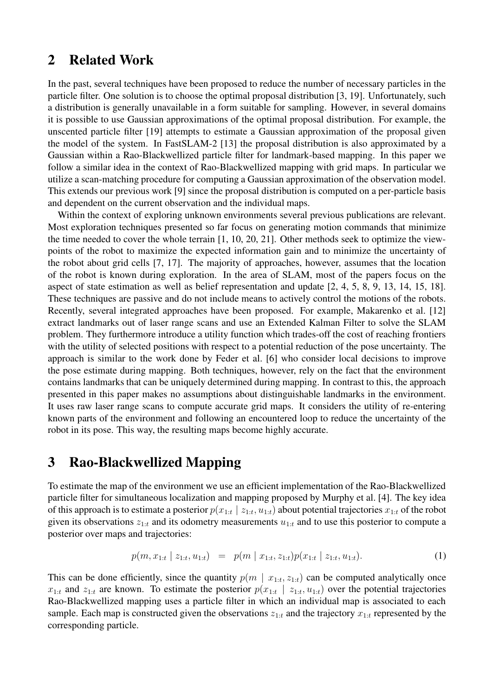## **2 Related Work**

In the past, several techniques have been proposed to reduce the number of necessary particles in the particle filter. One solution is to choose the optimal proposal distribution [3, 19]. Unfortunately, such a distribution is generally unavailable in a form suitable for sampling. However, in several domains it is possible to use Gaussian approximations of the optimal proposal distribution. For example, the unscented particle filter [19] attempts to estimate a Gaussian approximation of the proposal given the model of the system. In FastSLAM-2 [13] the proposal distribution is also approximated by a Gaussian within a Rao-Blackwellized particle filter for landmark-based mapping. In this paper we follow a similar idea in the context of Rao-Blackwellized mapping with grid maps. In particular we utilize a scan-matching procedure for computing a Gaussian approximation of the observation model. This extends our previous work [9] since the proposal distribution is computed on a per-particle basis and dependent on the current observation and the individual maps.

Within the context of exploring unknown environments several previous publications are relevant. Most exploration techniques presented so far focus on generating motion commands that minimize the time needed to cover the whole terrain [1, 10, 20, 21]. Other methods seek to optimize the viewpoints of the robot to maximize the expected information gain and to minimize the uncertainty of the robot about grid cells [7, 17]. The majority of approaches, however, assumes that the location of the robot is known during exploration. In the area of SLAM, most of the papers focus on the aspect of state estimation as well as belief representation and update [2, 4, 5, 8, 9, 13, 14, 15, 18]. These techniques are passive and do not include means to actively control the motions of the robots. Recently, several integrated approaches have been proposed. For example, Makarenko et al. [12] extract landmarks out of laser range scans and use an Extended Kalman Filter to solve the SLAM problem. They furthermore introduce a utility function which trades-off the cost of reaching frontiers with the utility of selected positions with respect to a potential reduction of the pose uncertainty. The approach is similar to the work done by Feder et al. [6] who consider local decisions to improve the pose estimate during mapping. Both techniques, however, rely on the fact that the environment contains landmarks that can be uniquely determined during mapping. In contrast to this, the approach presented in this paper makes no assumptions about distinguishable landmarks in the environment. It uses raw laser range scans to compute accurate grid maps. It considers the utility of re-entering known parts of the environment and following an encountered loop to reduce the uncertainty of the robot in its pose. This way, the resulting maps become highly accurate.

### **3 Rao-Blackwellized Mapping**

To estimate the map of the environment we use an efficient implementation of the Rao-Blackwellized particle filter for simultaneous localization and mapping proposed by Murphy et al. [4]. The key idea of this approach is to estimate a posterior  $p(x_{1:t} | z_{1:t}, u_{1:t})$  about potential trajectories  $x_{1:t}$  of the robot given its observations  $z_{1:t}$  and its odometry measurements  $u_{1:t}$  and to use this posterior to compute a posterior over maps and trajectories:

$$
p(m, x_{1:t} \mid z_{1:t}, u_{1:t}) = p(m \mid x_{1:t}, z_{1:t}) p(x_{1:t} \mid z_{1:t}, u_{1:t}). \tag{1}
$$

This can be done efficiently, since the quantity  $p(m \mid x_{1:t}, z_{1:t})$  can be computed analytically once  $x_{1:t}$  and  $z_{1:t}$  are known. To estimate the posterior  $p(x_{1:t} | z_{1:t}, u_{1:t})$  over the potential trajectories Rao-Blackwellized mapping uses a particle filter in which an individual map is associated to each sample. Each map is constructed given the observations  $z_{1:t}$  and the trajectory  $x_{1:t}$  represented by the corresponding particle.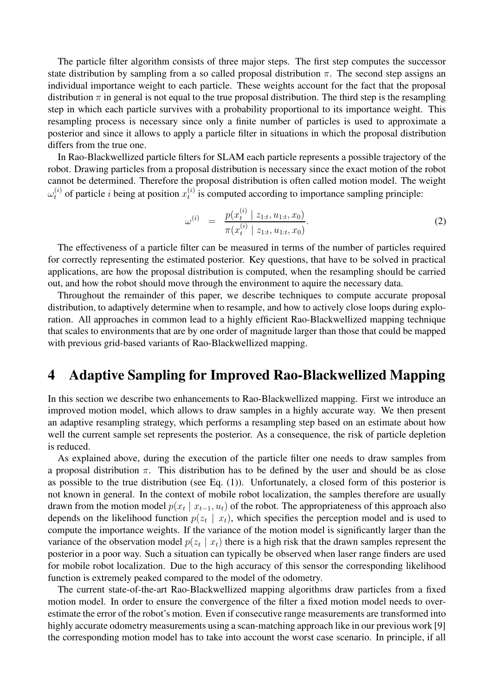The particle filter algorithm consists of three major steps. The first step computes the successor state distribution by sampling from a so called proposal distribution  $\pi$ . The second step assigns an individual importance weight to each particle. These weights account for the fact that the proposal distribution  $\pi$  in general is not equal to the true proposal distribution. The third step is the resampling step in which each particle survives with a probability proportional to its importance weight. This resampling process is necessary since only a finite number of particles is used to approximate a posterior and since it allows to apply a particle filter in situations in which the proposal distribution differs from the true one.

In Rao-Blackwellized particle filters for SLAM each particle represents a possible trajectory of the robot. Drawing particles from a proposal distribution is necessary since the exact motion of the robot cannot be determined. Therefore the proposal distribution is often called motion model. The weight  $\omega_t^{(i)}$  of particle *i* being at position  $x_t^{(i)}$  $t_i^{(i)}$  is computed according to importance sampling principle:

$$
\omega^{(i)} = \frac{p(x_t^{(i)} \mid z_{1:t}, u_{1:t}, x_0)}{\pi(x_t^{(i)} \mid z_{1:t}, u_{1:t}, x_0)}.
$$
\n(2)

The effectiveness of a particle filter can be measured in terms of the number of particles required for correctly representing the estimated posterior. Key questions, that have to be solved in practical applications, are how the proposal distribution is computed, when the resampling should be carried out, and how the robot should move through the environment to aquire the necessary data.

Throughout the remainder of this paper, we describe techniques to compute accurate proposal distribution, to adaptively determine when to resample, and how to actively close loops during exploration. All approaches in common lead to a highly efficient Rao-Blackwellized mapping technique that scales to environments that are by one order of magnitude larger than those that could be mapped with previous grid-based variants of Rao-Blackwellized mapping.

### **4 Adaptive Sampling for Improved Rao-Blackwellized Mapping**

In this section we describe two enhancements to Rao-Blackwellized mapping. First we introduce an improved motion model, which allows to draw samples in a highly accurate way. We then present an adaptive resampling strategy, which performs a resampling step based on an estimate about how well the current sample set represents the posterior. As a consequence, the risk of particle depletion is reduced.

As explained above, during the execution of the particle filter one needs to draw samples from a proposal distribution  $\pi$ . This distribution has to be defined by the user and should be as close as possible to the true distribution (see Eq. (1)). Unfortunately, a closed form of this posterior is not known in general. In the context of mobile robot localization, the samples therefore are usually drawn from the motion model  $p(x_t | x_{t-1}, u_t)$  of the robot. The appropriateness of this approach also depends on the likelihood function  $p(z_t | x_t)$ , which specifies the perception model and is used to compute the importance weights. If the variance of the motion model is significantly larger than the variance of the observation model  $p(z_t | x_t)$  there is a high risk that the drawn samples represent the posterior in a poor way. Such a situation can typically be observed when laser range finders are used for mobile robot localization. Due to the high accuracy of this sensor the corresponding likelihood function is extremely peaked compared to the model of the odometry.

The current state-of-the-art Rao-Blackwellized mapping algorithms draw particles from a fixed motion model. In order to ensure the convergence of the filter a fixed motion model needs to overestimate the error of the robot's motion. Even if consecutive range measurements are transformed into highly accurate odometry measurements using a scan-matching approach like in our previous work [9] the corresponding motion model has to take into account the worst case scenario. In principle, if all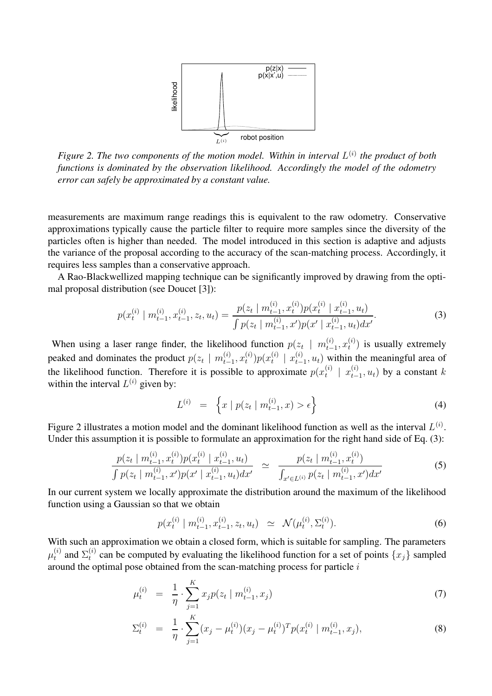

*Figure 2. The two components of the motion model. Within in interval* L (i) *the product of both functions is dominated by the observation likelihood. Accordingly the model of the odometry error can safely be approximated by a constant value.*

measurements are maximum range readings this is equivalent to the raw odometry. Conservative approximations typically cause the particle filter to require more samples since the diversity of the particles often is higher than needed. The model introduced in this section is adaptive and adjusts the variance of the proposal according to the accuracy of the scan-matching process. Accordingly, it requires less samples than a conservative approach.

A Rao-Blackwellized mapping technique can be significantly improved by drawing from the optimal proposal distribution (see Doucet [3]):

$$
p(x_t^{(i)} \mid m_{t-1}^{(i)}, x_{t-1}^{(i)}, z_t, u_t) = \frac{p(z_t \mid m_{t-1}^{(i)}, x_t^{(i)}) p(x_t^{(i)} \mid x_{t-1}^{(i)}, u_t)}{\int p(z_t \mid m_{t-1}^{(i)}, x') p(x' \mid x_{t-1}^{(i)}, u_t) dx'}.
$$
(3)

When using a laser range finder, the likelihood function  $p(z_t | m_t^{(i)})$  $_{t-1}^{(i)}, x_t^{(i)}$  $t^{(i)}$ ) is usually extremely peaked and dominates the product  $p(z_t | m_{t-}^{(i)})$  $_{t-1}^{(i)}, x_t^{(i)}$  $\binom{i}{t}p(x_t^{(i)})$  $\binom{i}{t}$  |  $x_{t-}^{(i)}$  $(t_{t-1}, u_t)$  within the meaningful area of the likelihood function. Therefore it is possible to approximate  $p(x_t^{(i)})$  $\begin{array}{c} (i) \\ t \end{array}$  |  $x_{t-}^{(i)}$  $_{t-1}^{(i)}$ ,  $u_t$ ) by a constant k within the interval  $L^{(i)}$  given by:

$$
L^{(i)} = \left\{ x \mid p(z_t \mid m_{t-1}^{(i)}, x) > \epsilon \right\}
$$
 (4)

Figure 2 illustrates a motion model and the dominant likelihood function as well as the interval  $L^{(i)}$ . Under this assumption it is possible to formulate an approximation for the right hand side of Eq. (3):

$$
\frac{p(z_t \mid m_{t-1}^{(i)}, x_t^{(i)}) p(x_t^{(i)} \mid x_{t-1}^{(i)}, u_t)}{\int p(z_t \mid m_{t-1}^{(i)}, x') p(x' \mid x_{t-1}^{(i)}, u_t) dx'} \simeq \frac{p(z_t \mid m_{t-1}^{(i)}, x_t^{(i)})}{\int_{x' \in L^{(i)}} p(z_t \mid m_{t-1}^{(i)}, x') dx'}
$$
\n(5)

In our current system we locally approximate the distribution around the maximum of the likelihood function using a Gaussian so that we obtain

$$
p(x_t^{(i)} \mid m_{t-1}^{(i)}, x_{t-1}^{(i)}, z_t, u_t) \simeq \mathcal{N}(\mu_t^{(i)}, \Sigma_t^{(i)}).
$$
 (6)

With such an approximation we obtain a closed form, which is suitable for sampling. The parameters  $\mu_t^{(i)}$  $t_i^{(i)}$  and  $\Sigma_t^{(i)}$  $t^{(i)}$  can be computed by evaluating the likelihood function for a set of points  $\{x_j\}$  sampled around the optimal pose obtained from the scan-matching process for particle  $i$ 

$$
\mu_t^{(i)} = \frac{1}{\eta} \cdot \sum_{j=1}^K x_j p(z_t \mid m_{t-1}^{(i)}, x_j) \tag{7}
$$

$$
\Sigma_t^{(i)} = \frac{1}{\eta} \cdot \sum_{j=1}^K (x_j - \mu_t^{(i)}) (x_j - \mu_t^{(i)})^T p(x_t^{(i)} | m_{t-1}^{(i)}, x_j), \tag{8}
$$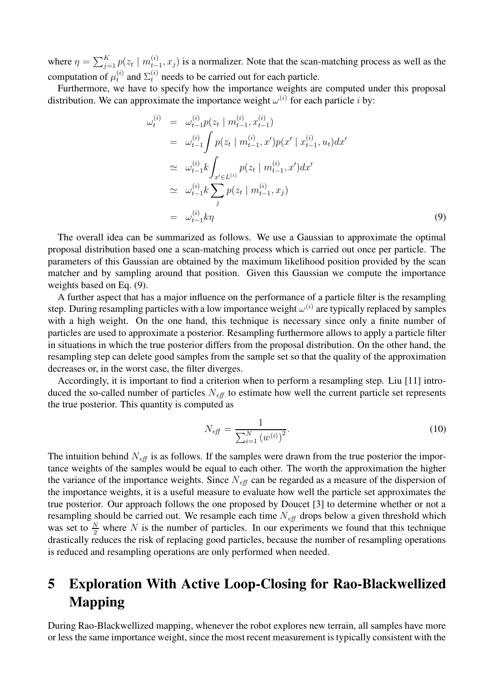where  $\eta = \sum_{j=1}^{K} p(z_t \mid m_{t-}^{(i)})$  $t_{t-1}^{(i)}$ ,  $x_j$ ) is a normalizer. Note that the scan-matching process as well as the computation of  $\mu_t^{(i)}$  $t_t^{(i)}$  and  $\Sigma_t^{(i)}$  needs to be carried out for each particle.

Furthermore, we have to specify how the importance weights are computed under this proposal distribution. We can approximate the importance weight  $\omega^{(i)}$  for each particle *i* by:

$$
\omega_t^{(i)} = \omega_{t-1}^{(i)} p(z_t \mid m_{t-1}^{(i)}, x_{t-1}^{(i)})
$$
\n
$$
= \omega_{t-1}^{(i)} \int p(z_t \mid m_{t-1}^{(i)}, x') p(x' \mid x_{t-1}^{(i)}, u_t) dx'
$$
\n
$$
\simeq \omega_{t-1}^{(i)} k \int_{x' \in L^{(i)}} p(z_t \mid m_{t-1}^{(i)}, x') dx'
$$
\n
$$
\simeq \omega_{t-1}^{(i)} k \sum_j p(z_t \mid m_{t-1}^{(i)}, x_j)
$$
\n
$$
= \omega_{t-1}^{(i)} k \eta
$$
\n(9)

The overall idea can be summarized as follows. We use a Gaussian to approximate the optimal proposal distribution based one a scan-matching process which is carried out once per particle. The parameters of this Gaussian are obtained by the maximum likelihood position provided by the scan matcher and by sampling around that position. Given this Gaussian we compute the importance weights based on Eq. (9).

A further aspect that has a major influence on the performance of a particle filter is the resampling step. During resampling particles with a low importance weight  $\omega^{(i)}$  are typically replaced by samples with a high weight. On the one hand, this technique is necessary since only a finite number of particles are used to approximate a posterior. Resampling furthermore allows to apply a particle filter in situations in which the true posterior differs from the proposal distribution. On the other hand, the resampling step can delete good samples from the sample set so that the quality of the approximation decreases or, in the worst case, the filter diverges.

Accordingly, it is important to find a criterion when to perform a resampling step. Liu [11] introduced the so-called number of particles  $N_{\text{eff}}$  to estimate how well the current particle set represents the true posterior. This quantity is computed as

$$
N_{\text{eff}} = \frac{1}{\sum_{i=1}^{N} (w^{(i)})^2}.
$$
\n(10)

The intuition behind  $N_{\text{eff}}$  is as follows. If the samples were drawn from the true posterior the importance weights of the samples would be equal to each other. The worth the approximation the higher the variance of the importance weights. Since  $N_{\text{eff}}$  can be regarded as a measure of the dispersion of the importance weights, it is a useful measure to evaluate how well the particle set approximates the true posterior. Our approach follows the one proposed by Doucet [3] to determine whether or not a resampling should be carried out. We resample each time  $N_{\text{eff}}$  drops below a given threshold which was set to  $\frac{N}{2}$  where N is the number of particles. In our experiments we found that this technique drastically reduces the risk of replacing good particles, because the number of resampling operations is reduced and resampling operations are only performed when needed.

# **5 Exploration With Active Loop-Closing for Rao-Blackwellized Mapping**

During Rao-Blackwellized mapping, whenever the robot explores new terrain, all samples have more or less the same importance weight, since the most recent measurement is typically consistent with the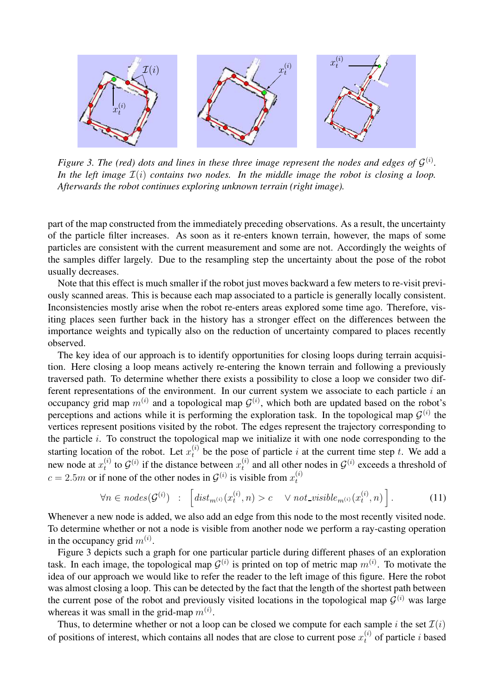

*Figure* 3. *The* (*red*) *dots and lines in these three image represent the nodes and edges of*  $\mathcal{G}^{(i)}$ . *In the left image* I(i) *contains two nodes. In the middle image the robot is closing a loop. Afterwards the robot continues exploring unknown terrain (right image).*

part of the map constructed from the immediately preceding observations. As a result, the uncertainty of the particle filter increases. As soon as it re-enters known terrain, however, the maps of some particles are consistent with the current measurement and some are not. Accordingly the weights of the samples differ largely. Due to the resampling step the uncertainty about the pose of the robot usually decreases.

Note that this effect is much smaller if the robot just moves backward a few meters to re-visit previously scanned areas. This is because each map associated to a particle is generally locally consistent. Inconsistencies mostly arise when the robot re-enters areas explored some time ago. Therefore, visiting places seen further back in the history has a stronger effect on the differences between the importance weights and typically also on the reduction of uncertainty compared to places recently observed.

The key idea of our approach is to identify opportunities for closing loops during terrain acquisition. Here closing a loop means actively re-entering the known terrain and following a previously traversed path. To determine whether there exists a possibility to close a loop we consider two different representations of the environment. In our current system we associate to each particle  $i$  an occupancy grid map  $m^{(i)}$  and a topological map  $G^{(i)}$ , which both are updated based on the robot's perceptions and actions while it is performing the exploration task. In the topological map  $\mathcal{G}^{(i)}$  the vertices represent positions visited by the robot. The edges represent the trajectory corresponding to the particle  $i$ . To construct the topological map we initialize it with one node corresponding to the starting location of the robot. Let  $x_t^{(i)}$  be the pose of particle i at the current time step t. We add a new node at  $x_t^{(i)}$  $t_t^{(i)}$  to  $\mathcal{G}^{(i)}$  if the distance between  $x_t^{(i)}$  $\mathcal{G}^{(i)}$  and all other nodes in  $\mathcal{G}^{(i)}$  exceeds a threshold of  $c = 2.5m$  or if none of the other nodes in  $\mathcal{G}^{(i)}$  is visible from  $x_t^{(i)}$ t

$$
\forall n \in nodes(\mathcal{G}^{(i)}) \quad : \quad \left[dist_{m^{(i)}}(x_t^{(i)}, n) > c \quad \lor not\_visible_{m^{(i)}}(x_t^{(i)}, n) \right]. \tag{11}
$$

Whenever a new node is added, we also add an edge from this node to the most recently visited node. To determine whether or not a node is visible from another node we perform a ray-casting operation in the occupancy grid  $m^{(i)}$ .

Figure 3 depicts such a graph for one particular particle during different phases of an exploration task. In each image, the topological map  $G^{(i)}$  is printed on top of metric map  $m^{(i)}$ . To motivate the idea of our approach we would like to refer the reader to the left image of this figure. Here the robot was almost closing a loop. This can be detected by the fact that the length of the shortest path between the current pose of the robot and previously visited locations in the topological map  $\mathcal{G}^{(i)}$  was large whereas it was small in the grid-map  $m^{(i)}$ .

Thus, to determine whether or not a loop can be closed we compute for each sample i the set  $\mathcal{I}(i)$ of positions of interest, which contains all nodes that are close to current pose  $x_t^{(i)}$  of particle i based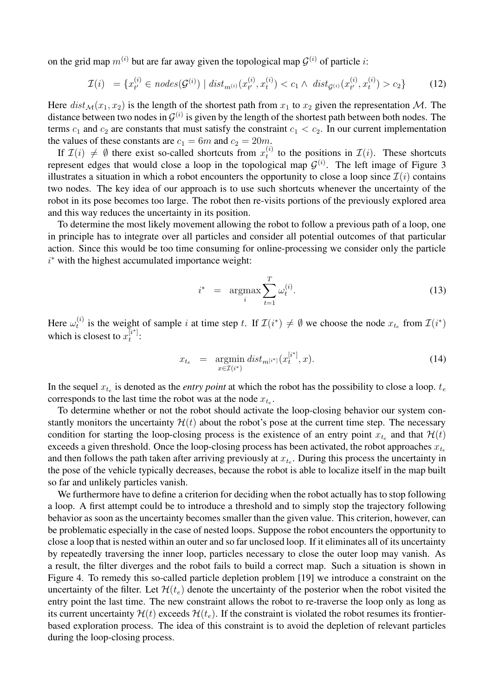on the grid map  $m^{(i)}$  but are far away given the topological map  $\mathcal{G}^{(i)}$  of particle *i*:

$$
\mathcal{I}(i) = \{x_{t'}^{(i)} \in nodes(\mathcal{G}^{(i)}) \mid dist_{m^{(i)}}(x_{t'}^{(i)}, x_t^{(i)}) < c_1 \land dist_{\mathcal{G}^{(i)}}(x_{t'}^{(i)}, x_t^{(i)}) > c_2\}
$$
(12)

Here  $dist_{\mathcal{M}}(x_1, x_2)$  is the length of the shortest path from  $x_1$  to  $x_2$  given the representation M. The distance between two nodes in  $\mathcal{G}^{(i)}$  is given by the length of the shortest path between both nodes. The terms  $c_1$  and  $c_2$  are constants that must satisfy the constraint  $c_1 < c_2$ . In our current implementation the values of these constants are  $c_1 = 6m$  and  $c_2 = 20m$ .

If  $\mathcal{I}(i) \neq \emptyset$  there exist so-called shortcuts from  $x_t^{(i)}$  $t_i^{(i)}$  to the positions in  $\mathcal{I}(i)$ . These shortcuts represent edges that would close a loop in the topological map  $G^{(i)}$ . The left image of Figure 3 illustrates a situation in which a robot encounters the opportunity to close a loop since  $\mathcal{I}(i)$  contains two nodes. The key idea of our approach is to use such shortcuts whenever the uncertainty of the robot in its pose becomes too large. The robot then re-visits portions of the previously explored area and this way reduces the uncertainty in its position.

To determine the most likely movement allowing the robot to follow a previous path of a loop, one in principle has to integrate over all particles and consider all potential outcomes of that particular action. Since this would be too time consuming for online-processing we consider only the particle i <sup>∗</sup> with the highest accumulated importance weight:

$$
i^* = \underset{i}{\operatorname{argmax}} \sum_{t=1}^T \omega_t^{(i)}.
$$
 (13)

Here  $\omega_t^{(i)}$  $\mathcal{I}(t^*)$  is the weight of sample i at time step t. If  $\mathcal{I}(i^*) \neq \emptyset$  we choose the node  $x_{t_e}$  from  $\mathcal{I}(i^*)$ which is closest to  $x_t^{[i^*]}$  $\frac{1}{t}$ .

$$
x_{t_e} = \underset{x \in \mathcal{I}(i^*)}{\text{argmin}} \, dist_{m^{[i^*]}}(x_t^{[i^*]}, x). \tag{14}
$$

In the sequel  $x_{t_e}$  is denoted as the *entry point* at which the robot has the possibility to close a loop.  $t_e$ corresponds to the last time the robot was at the node  $x_{t_e}$ .

To determine whether or not the robot should activate the loop-closing behavior our system constantly monitors the uncertainty  $\mathcal{H}(t)$  about the robot's pose at the current time step. The necessary condition for starting the loop-closing process is the existence of an entry point  $x_{t_e}$  and that  $\mathcal{H}(t)$ exceeds a given threshold. Once the loop-closing process has been activated, the robot approaches  $x_{t_e}$ and then follows the path taken after arriving previously at  $x_{t_e}$ . During this process the uncertainty in the pose of the vehicle typically decreases, because the robot is able to localize itself in the map built so far and unlikely particles vanish.

We furthermore have to define a criterion for deciding when the robot actually has to stop following a loop. A first attempt could be to introduce a threshold and to simply stop the trajectory following behavior as soon as the uncertainty becomes smaller than the given value. This criterion, however, can be problematic especially in the case of nested loops. Suppose the robot encounters the opportunity to close a loop that is nested within an outer and so far unclosed loop. If it eliminates all of its uncertainty by repeatedly traversing the inner loop, particles necessary to close the outer loop may vanish. As a result, the filter diverges and the robot fails to build a correct map. Such a situation is shown in Figure 4. To remedy this so-called particle depletion problem [19] we introduce a constraint on the uncertainty of the filter. Let  $\mathcal{H}(t_e)$  denote the uncertainty of the posterior when the robot visited the entry point the last time. The new constraint allows the robot to re-traverse the loop only as long as its current uncertainty  $\mathcal{H}(t)$  exceeds  $\mathcal{H}(t_e)$ . If the constraint is violated the robot resumes its frontierbased exploration process. The idea of this constraint is to avoid the depletion of relevant particles during the loop-closing process.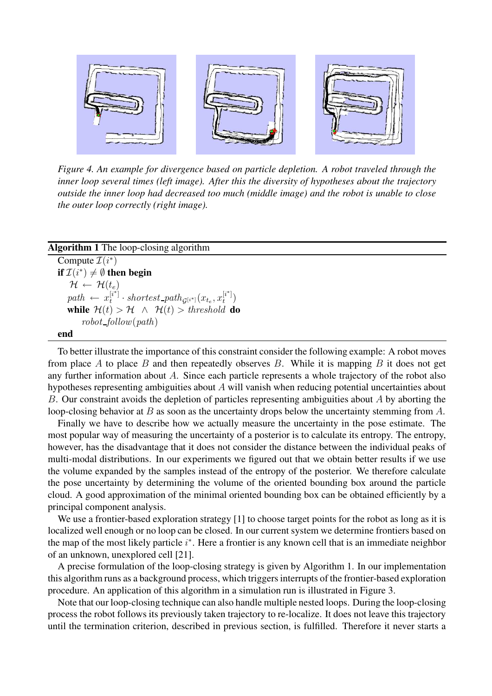

*Figure 4. An example for divergence based on particle depletion. A robot traveled through the inner loop several times (left image). After this the diversity of hypotheses about the trajectory outside the inner loop had decreased too much (middle image) and the robot is unable to close the outer loop correctly (right image).*

#### **Algorithm 1** The loop-closing algorithm

Compute  $\mathcal{I}(i^*)$ **if**  $\mathcal{I}(i^*) \neq \emptyset$  **then begin**  $\mathcal{H} \leftarrow \mathcal{H}(t_e)$  $path \leftarrow x_t^{[i^*]}$  $\mathcal{L}^{[i^*]}\cdot shortest\_path_{\mathcal{G}^{[i^*]}}(x_{t_e},x_t^{[i^*]})$  $\binom{[i+1]}{t}$ **while**  $\mathcal{H}(t) > \mathcal{H} \land \mathcal{H}(t) > threshold$  **do**  $robot_follow(path)$ **end**

To better illustrate the importance of this constraint consider the following example: A robot moves from place A to place B and then repeatedly observes B. While it is mapping B it does not get any further information about A. Since each particle represents a whole trajectory of the robot also hypotheses representing ambiguities about A will vanish when reducing potential uncertainties about B. Our constraint avoids the depletion of particles representing ambiguities about A by aborting the loop-closing behavior at B as soon as the uncertainty drops below the uncertainty stemming from A.

Finally we have to describe how we actually measure the uncertainty in the pose estimate. The most popular way of measuring the uncertainty of a posterior is to calculate its entropy. The entropy, however, has the disadvantage that it does not consider the distance between the individual peaks of multi-modal distributions. In our experiments we figured out that we obtain better results if we use the volume expanded by the samples instead of the entropy of the posterior. We therefore calculate the pose uncertainty by determining the volume of the oriented bounding box around the particle cloud. A good approximation of the minimal oriented bounding box can be obtained efficiently by a principal component analysis.

We use a frontier-based exploration strategy [1] to choose target points for the robot as long as it is localized well enough or no loop can be closed. In our current system we determine frontiers based on the map of the most likely particle  $i^*$ . Here a frontier is any known cell that is an immediate neighbor of an unknown, unexplored cell [21].

A precise formulation of the loop-closing strategy is given by Algorithm 1. In our implementation this algorithm runs as a background process, which triggersinterrupts of the frontier-based exploration procedure. An application of this algorithm in a simulation run is illustrated in Figure 3.

Note that our loop-closing technique can also handle multiple nested loops. During the loop-closing process the robot follows its previously taken trajectory to re-localize. It does not leave this trajectory until the termination criterion, described in previous section, is fulfilled. Therefore it never starts a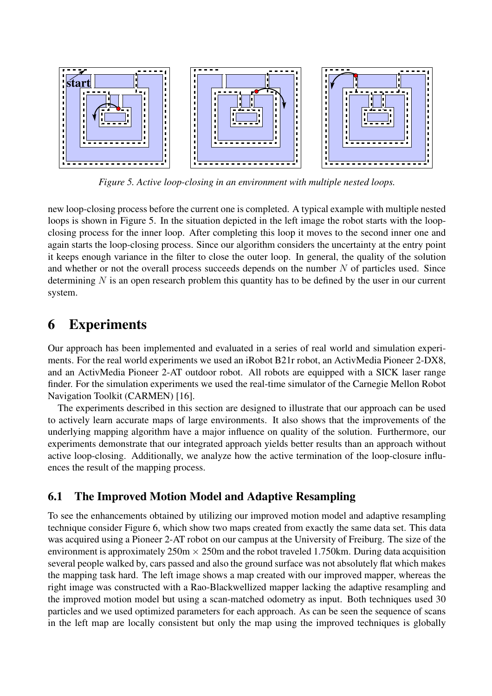

*Figure 5. Active loop-closing in an environment with multiple nested loops.*

new loop-closing process before the current one is completed. A typical example with multiple nested loops is shown in Figure 5. In the situation depicted in the left image the robot starts with the loopclosing process for the inner loop. After completing this loop it moves to the second inner one and again starts the loop-closing process. Since our algorithm considers the uncertainty at the entry point it keeps enough variance in the filter to close the outer loop. In general, the quality of the solution and whether or not the overall process succeeds depends on the number  $N$  of particles used. Since determining  $N$  is an open research problem this quantity has to be defined by the user in our current system.

# **6 Experiments**

Our approach has been implemented and evaluated in a series of real world and simulation experiments. For the real world experiments we used an iRobot B21r robot, an ActivMedia Pioneer 2-DX8, and an ActivMedia Pioneer 2-AT outdoor robot. All robots are equipped with a SICK laser range finder. For the simulation experiments we used the real-time simulator of the Carnegie Mellon Robot Navigation Toolkit (CARMEN) [16].

The experiments described in this section are designed to illustrate that our approach can be used to actively learn accurate maps of large environments. It also shows that the improvements of the underlying mapping algorithm have a major influence on quality of the solution. Furthermore, our experiments demonstrate that our integrated approach yields better results than an approach without active loop-closing. Additionally, we analyze how the active termination of the loop-closure influences the result of the mapping process.

#### **6.1 The Improved Motion Model and Adaptive Resampling**

To see the enhancements obtained by utilizing our improved motion model and adaptive resampling technique consider Figure 6, which show two maps created from exactly the same data set. This data was acquired using a Pioneer 2-AT robot on our campus at the University of Freiburg. The size of the environment is approximately  $250m \times 250m$  and the robot traveled 1.750km. During data acquisition several people walked by, cars passed and also the ground surface was not absolutely flat which makes the mapping task hard. The left image shows a map created with our improved mapper, whereas the right image was constructed with a Rao-Blackwellized mapper lacking the adaptive resampling and the improved motion model but using a scan-matched odometry as input. Both techniques used 30 particles and we used optimized parameters for each approach. As can be seen the sequence of scans in the left map are locally consistent but only the map using the improved techniques is globally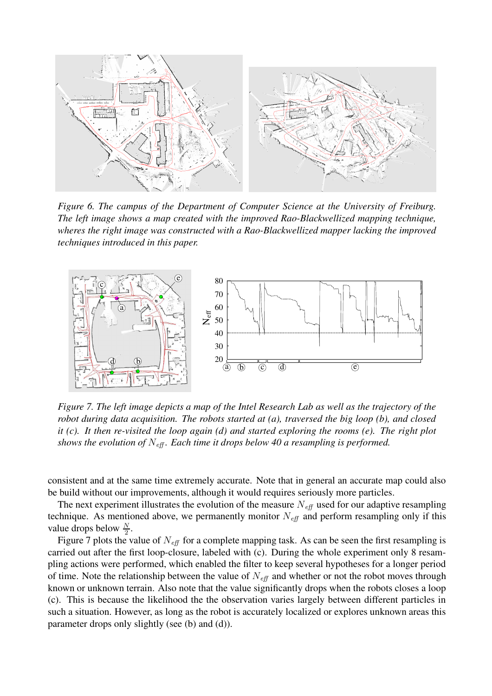

*Figure 6. The campus of the Department of Computer Science at the University of Freiburg. The left image shows a map created with the improved Rao-Blackwellized mapping technique, wheres the right image was constructed with a Rao-Blackwellized mapper lacking the improved techniques introduced in this paper.*



Figure 7. The left image depicts a map of the Intel Research Lab as well as the trajectory of the *robot during data acquisition. The robots started at (a), traversed the big loop (b), and closed it (c). It then re-visited the loop again (d) and started exploring the rooms (e). The right plot shows the evolution of* Neff *. Each time it drops below 40 a resampling is performed.*

consistent and at the same time extremely accurate. Note that in general an accurate map could also be build without our improvements, although it would requires seriously more particles.

The next experiment illustrates the evolution of the measure  $N_{\text{eff}}$  used for our adaptive resampling technique. As mentioned above, we permanently monitor  $N<sub>eff</sub>$  and perform resampling only if this value drops below  $\frac{N}{2}$  $\frac{N}{2}$ .

Figure 7 plots the value of  $N_{\text{eff}}$  for a complete mapping task. As can be seen the first resampling is carried out after the first loop-closure, labeled with (c). During the whole experiment only 8 resampling actions were performed, which enabled the filter to keep several hypotheses for a longer period of time. Note the relationship between the value of  $N_{\text{eff}}$  and whether or not the robot moves through known or unknown terrain. Also note that the value significantly drops when the robots closes a loop (c). This is because the likelihood the the observation varies largely between different particles in such a situation. However, as long as the robot is accurately localized or explores unknown areas this parameter drops only slightly (see (b) and (d)).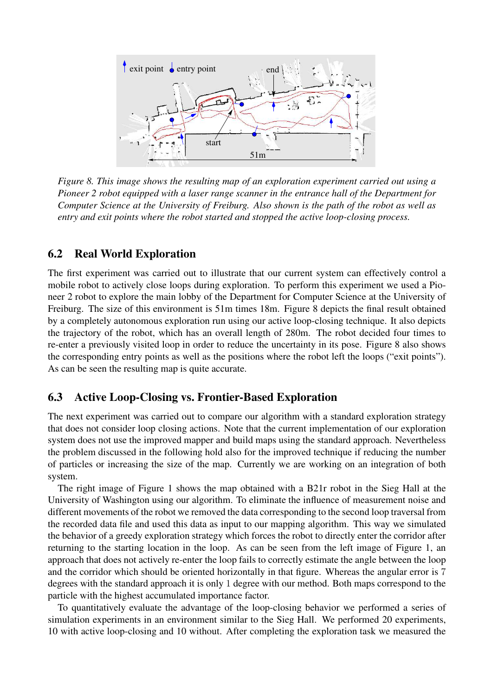

*Figure 8. This image shows the resulting map of an exploration experiment carried out using a Pioneer 2 robot equipped with a laser range scanner in the entrance hall of the Department for Computer Science at the University of Freiburg. Also shown is the path of the robot as well as entry and exit points where the robot started and stopped the active loop-closing process.*

#### **6.2 Real World Exploration**

The first experiment was carried out to illustrate that our current system can effectively control a mobile robot to actively close loops during exploration. To perform this experiment we used a Pioneer 2 robot to explore the main lobby of the Department for Computer Science at the University of Freiburg. The size of this environment is 51m times 18m. Figure 8 depicts the final result obtained by a completely autonomous exploration run using our active loop-closing technique. It also depicts the trajectory of the robot, which has an overall length of 280m. The robot decided four times to re-enter a previously visited loop in order to reduce the uncertainty in its pose. Figure 8 also shows the corresponding entry points as well as the positions where the robot left the loops ("exit points"). As can be seen the resulting map is quite accurate.

#### **6.3 Active Loop-Closing vs. Frontier-Based Exploration**

The next experiment was carried out to compare our algorithm with a standard exploration strategy that does not consider loop closing actions. Note that the current implementation of our exploration system does not use the improved mapper and build maps using the standard approach. Nevertheless the problem discussed in the following hold also for the improved technique if reducing the number of particles or increasing the size of the map. Currently we are working on an integration of both system.

The right image of Figure 1 shows the map obtained with a B21r robot in the Sieg Hall at the University of Washington using our algorithm. To eliminate the influence of measurement noise and different movements of the robot we removed the data corresponding to the second loop traversal from the recorded data file and used this data as input to our mapping algorithm. This way we simulated the behavior of a greedy exploration strategy which forces the robot to directly enter the corridor after returning to the starting location in the loop. As can be seen from the left image of Figure 1, an approach that does not actively re-enter the loop fails to correctly estimate the angle between the loop and the corridor which should be oriented horizontally in that figure. Whereas the angular error is 7 degrees with the standard approach it is only 1 degree with our method. Both maps correspond to the particle with the highest accumulated importance factor.

To quantitatively evaluate the advantage of the loop-closing behavior we performed a series of simulation experiments in an environment similar to the Sieg Hall. We performed 20 experiments, 10 with active loop-closing and 10 without. After completing the exploration task we measured the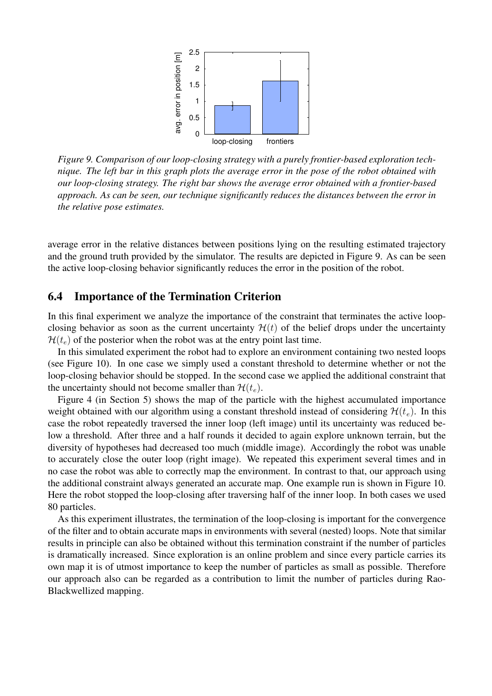

*Figure 9. Comparison of our loop-closing strategy with a purely frontier-based exploration tech*nique. The left bar in this graph plots the average error in the pose of the robot obtained with *our loop-closing strategy. The right bar shows the average error obtained with a frontier-based approach. As can be seen, our technique significantly reduces the distances between the error in the relative pose estimates.*

average error in the relative distances between positions lying on the resulting estimated trajectory and the ground truth provided by the simulator. The results are depicted in Figure 9. As can be seen the active loop-closing behavior significantly reduces the error in the position of the robot.

#### **6.4 Importance of the Termination Criterion**

In this final experiment we analyze the importance of the constraint that terminates the active loopclosing behavior as soon as the current uncertainty  $H(t)$  of the belief drops under the uncertainty  $\mathcal{H}(t_e)$  of the posterior when the robot was at the entry point last time.

In this simulated experiment the robot had to explore an environment containing two nested loops (see Figure 10). In one case we simply used a constant threshold to determine whether or not the loop-closing behavior should be stopped. In the second case we applied the additional constraint that the uncertainty should not become smaller than  $\mathcal{H}(t_e)$ .

Figure 4 (in Section 5) shows the map of the particle with the highest accumulated importance weight obtained with our algorithm using a constant threshold instead of considering  $\mathcal{H}(t_e)$ . In this case the robot repeatedly traversed the inner loop (left image) until its uncertainty was reduced below a threshold. After three and a half rounds it decided to again explore unknown terrain, but the diversity of hypotheses had decreased too much (middle image). Accordingly the robot was unable to accurately close the outer loop (right image). We repeated this experiment several times and in no case the robot was able to correctly map the environment. In contrast to that, our approach using the additional constraint always generated an accurate map. One example run is shown in Figure 10. Here the robot stopped the loop-closing after traversing half of the inner loop. In both cases we used 80 particles.

As this experiment illustrates, the termination of the loop-closing is important for the convergence of the filter and to obtain accurate maps in environments with several (nested) loops. Note that similar results in principle can also be obtained without this termination constraint if the number of particles is dramatically increased. Since exploration is an online problem and since every particle carries its own map it is of utmost importance to keep the number of particles as small as possible. Therefore our approach also can be regarded as a contribution to limit the number of particles during Rao-Blackwellized mapping.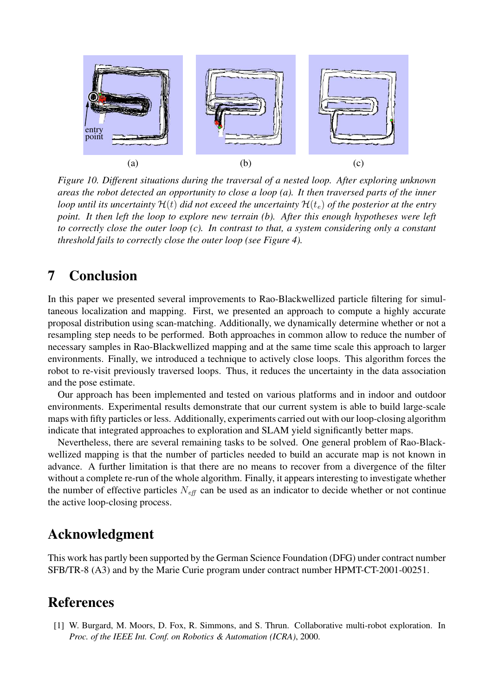

*Figure 10. Different situations during the traversal of a nested loop. After exploring unknown areas the robot detected an opportunity to close a loop (a). It then traversed parts of the inner loop until its uncertainty*  $\mathcal{H}(t)$  *did not exceed the uncertainty*  $\mathcal{H}(t_e)$  *of the posterior at the entry point. It then left the loop to explore new terrain (b). After this enough hypotheses were left to correctly close the outer loop (c). In contrast to that, a system considering only a constant threshold fails to correctly close the outer loop (see Figure 4).*

# **7 Conclusion**

In this paper we presented several improvements to Rao-Blackwellized particle filtering for simultaneous localization and mapping. First, we presented an approach to compute a highly accurate proposal distribution using scan-matching. Additionally, we dynamically determine whether or not a resampling step needs to be performed. Both approaches in common allow to reduce the number of necessary samples in Rao-Blackwellized mapping and at the same time scale this approach to larger environments. Finally, we introduced a technique to actively close loops. This algorithm forces the robot to re-visit previously traversed loops. Thus, it reduces the uncertainty in the data association and the pose estimate.

Our approach has been implemented and tested on various platforms and in indoor and outdoor environments. Experimental results demonstrate that our current system is able to build large-scale maps with fifty particles or less. Additionally, experiments carried out with our loop-closing algorithm indicate that integrated approaches to exploration and SLAM yield significantly better maps.

Nevertheless, there are several remaining tasks to be solved. One general problem of Rao-Blackwellized mapping is that the number of particles needed to build an accurate map is not known in advance. A further limitation is that there are no means to recover from a divergence of the filter without a complete re-run of the whole algorithm. Finally, it appears interesting to investigate whether the number of effective particles  $N_{\text{eff}}$  can be used as an indicator to decide whether or not continue the active loop-closing process.

## **Acknowledgment**

This work has partly been supported by the German Science Foundation (DFG) under contract number SFB/TR-8 (A3) and by the Marie Curie program under contract number HPMT-CT-2001-00251.

## **References**

[1] W. Burgard, M. Moors, D. Fox, R. Simmons, and S. Thrun. Collaborative multi-robot exploration. In *Proc. of the IEEE Int. Conf. on Robotics & Automation (ICRA)*, 2000.